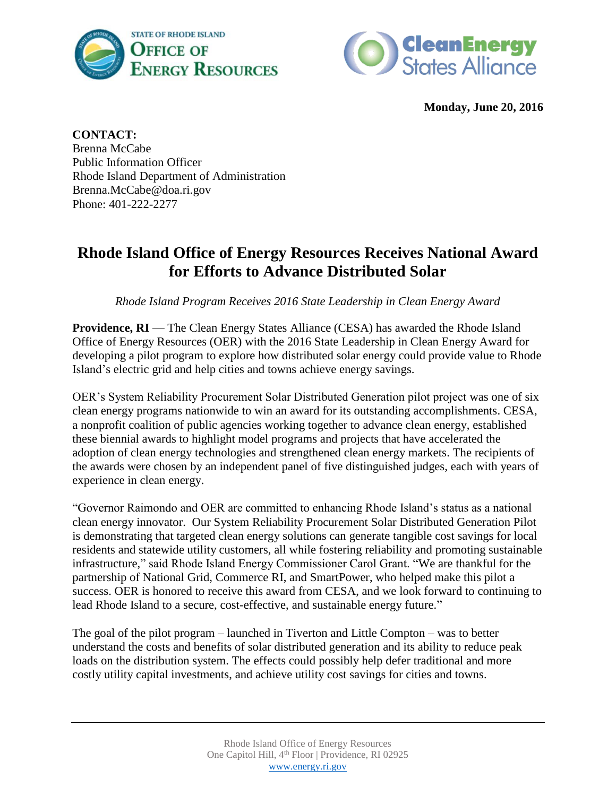



**Monday, June 20, 2016**

**CONTACT:** Brenna McCabe Public Information Officer Rhode Island Department of Administration Brenna.McCabe@doa.ri.gov Phone: 401-222-2277

## **Rhode Island Office of Energy Resources Receives National Award for Efforts to Advance Distributed Solar**

*Rhode Island Program Receives 2016 State Leadership in Clean Energy Award* 

**Providence, RI** — The Clean Energy States Alliance (CESA) has awarded the Rhode Island Office of Energy Resources (OER) with the 2016 State Leadership in Clean Energy Award for developing a pilot program to explore how distributed solar energy could provide value to Rhode Island's electric grid and help cities and towns achieve energy savings.

OER's System Reliability Procurement Solar Distributed Generation pilot project was one of six clean energy programs nationwide to win an award for its outstanding accomplishments. CESA, a nonprofit coalition of public agencies working together to advance clean energy, established these biennial awards to highlight model programs and projects that have accelerated the adoption of clean energy technologies and strengthened clean energy markets. The recipients of the awards were chosen by an independent panel of five distinguished judges, each with years of experience in clean energy.

"Governor Raimondo and OER are committed to enhancing Rhode Island's status as a national clean energy innovator. Our System Reliability Procurement Solar Distributed Generation Pilot is demonstrating that targeted clean energy solutions can generate tangible cost savings for local residents and statewide utility customers, all while fostering reliability and promoting sustainable infrastructure," said Rhode Island Energy Commissioner Carol Grant. "We are thankful for the partnership of National Grid, Commerce RI, and SmartPower, who helped make this pilot a success. OER is honored to receive this award from CESA, and we look forward to continuing to lead Rhode Island to a secure, cost-effective, and sustainable energy future."

The goal of the pilot program – launched in Tiverton and Little Compton – was to better understand the costs and benefits of solar distributed generation and its ability to reduce peak loads on the distribution system. The effects could possibly help defer traditional and more costly utility capital investments, and achieve utility cost savings for cities and towns.